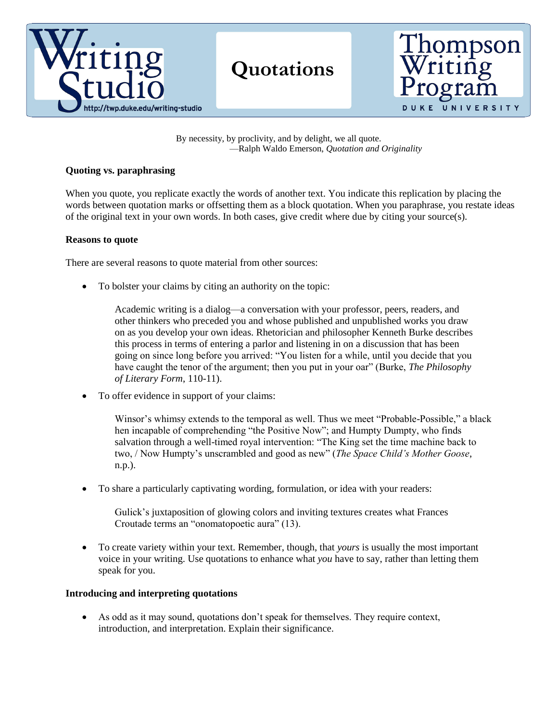

By necessity, by proclivity, and by delight, we all quote. —Ralph Waldo Emerson, *Quotation and Originality*

### **Quoting vs. paraphrasing**

When you quote, you replicate exactly the words of another text. You indicate this replication by placing the words between quotation marks or offsetting them as a block quotation. When you paraphrase, you restate ideas of the original text in your own words. In both cases, give credit where due by citing your source(s).

#### **Reasons to quote**

There are several reasons to quote material from other sources:

To bolster your claims by citing an authority on the topic:

Academic writing is a dialog—a conversation with your professor, peers, readers, and other thinkers who preceded you and whose published and unpublished works you draw on as you develop your own ideas. Rhetorician and philosopher Kenneth Burke describes this process in terms of entering a parlor and listening in on a discussion that has been going on since long before you arrived: "You listen for a while, until you decide that you have caught the tenor of the argument; then you put in your oar" (Burke, *The Philosophy of Literary Form*, 110-11).

To offer evidence in support of your claims:

Winsor's whimsy extends to the temporal as well. Thus we meet "Probable-Possible," a black hen incapable of comprehending "the Positive Now"; and Humpty Dumpty, who finds salvation through a well-timed royal intervention: "The King set the time machine back to two, / Now Humpty's unscrambled and good as new" (*The Space Child's Mother Goose*, n.p.).

To share a particularly captivating wording, formulation, or idea with your readers:

Gulick's juxtaposition of glowing colors and inviting textures creates what Frances Croutade terms an "onomatopoetic aura" (13).

 To create variety within your text. Remember, though, that *yours* is usually the most important voice in your writing. Use quotations to enhance what *you* have to say, rather than letting them speak for you.

# **Introducing and interpreting quotations**

 As odd as it may sound, quotations don't speak for themselves. They require context, introduction, and interpretation. Explain their significance.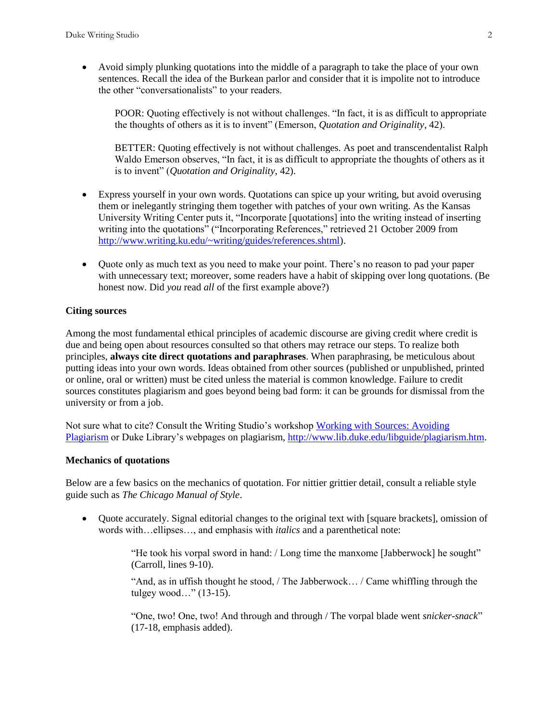Avoid simply plunking quotations into the middle of a paragraph to take the place of your own sentences. Recall the idea of the Burkean parlor and consider that it is impolite not to introduce the other "conversationalists" to your readers.

POOR: Quoting effectively is not without challenges. "In fact, it is as difficult to appropriate the thoughts of others as it is to invent" (Emerson, *Quotation and Originality*, 42).

BETTER: Quoting effectively is not without challenges. As poet and transcendentalist Ralph Waldo Emerson observes, "In fact, it is as difficult to appropriate the thoughts of others as it is to invent" (*Quotation and Originality*, 42).

- Express yourself in your own words. Quotations can spice up your writing, but avoid overusing them or inelegantly stringing them together with patches of your own writing. As the Kansas University Writing Center puts it, "Incorporate [quotations] into the writing instead of inserting writing into the quotations" ("Incorporating References," retrieved 21 October 2009 from [http://www.writing.ku.edu/~writing/guides/references.shtml\)](http://www.writing.ku.edu/~writing/guides/references.shtml).
- Quote only as much text as you need to make your point. There's no reason to pad your paper with unnecessary text; moreover, some readers have a habit of skipping over long quotations. (Be honest now. Did *you* read *all* of the first example above?)

# **Citing sources**

Among the most fundamental ethical principles of academic discourse are giving credit where credit is due and being open about resources consulted so that others may retrace our steps. To realize both principles, **always cite direct quotations and paraphrases**. When paraphrasing, be meticulous about putting ideas into your own words. Ideas obtained from other sources (published or unpublished, printed or online, oral or written) must be cited unless the material is common knowledge. Failure to credit sources constitutes plagiarism and goes beyond being bad form: it can be grounds for dismissal from the university or from a job.

Not sure what to cite? Consult the Writing Studio's workshop [Working with Sources: Avoiding](http://uwp.duke.edu/uploads/assets/handout_plagiarism_humanities.pdf)  [Plagiarism](http://uwp.duke.edu/uploads/assets/handout_plagiarism_humanities.pdf) or Duke Library's webpages on plagiarism, [http://www.lib.duke.edu/libguide/plagiarism.htm.](http://www.lib.duke.edu/libguide/plagiarism.htm)

### **Mechanics of quotations**

Below are a few basics on the mechanics of quotation. For nittier grittier detail, consult a reliable style guide such as *The Chicago Manual of Style*.

 Quote accurately. Signal editorial changes to the original text with [square brackets], omission of words with…ellipses…, and emphasis with *italics* and a parenthetical note:

> "He took his vorpal sword in hand: / Long time the manxome [Jabberwock] he sought" (Carroll, lines 9-10).

> "And, as in uffish thought he stood, / The Jabberwock… / Came whiffling through the tulgey wood…" (13-15).

"One, two! One, two! And through and through / The vorpal blade went *snicker-snack*" (17-18, emphasis added).